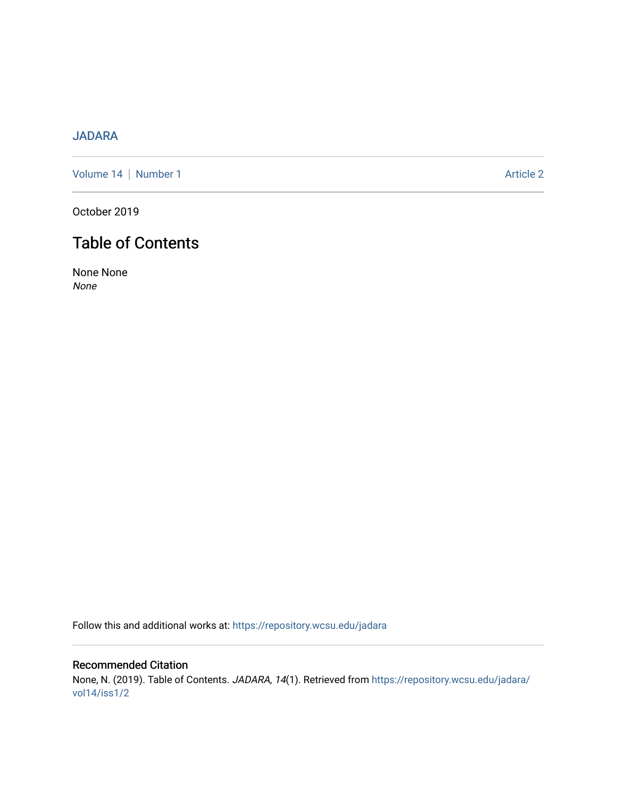# [JADARA](https://repository.wcsu.edu/jadara)

[Volume 14](https://repository.wcsu.edu/jadara/vol14) | [Number 1](https://repository.wcsu.edu/jadara/vol14/iss1) Article 2

October 2019

# Table of Contents

None None None

Follow this and additional works at: [https://repository.wcsu.edu/jadara](https://repository.wcsu.edu/jadara?utm_source=repository.wcsu.edu%2Fjadara%2Fvol14%2Fiss1%2F2&utm_medium=PDF&utm_campaign=PDFCoverPages)

Recommended Citation None, N. (2019). Table of Contents. JADARA, 14(1). Retrieved from [https://repository.wcsu.edu/jadara/](https://repository.wcsu.edu/jadara/vol14/iss1/2?utm_source=repository.wcsu.edu%2Fjadara%2Fvol14%2Fiss1%2F2&utm_medium=PDF&utm_campaign=PDFCoverPages) [vol14/iss1/2](https://repository.wcsu.edu/jadara/vol14/iss1/2?utm_source=repository.wcsu.edu%2Fjadara%2Fvol14%2Fiss1%2F2&utm_medium=PDF&utm_campaign=PDFCoverPages)